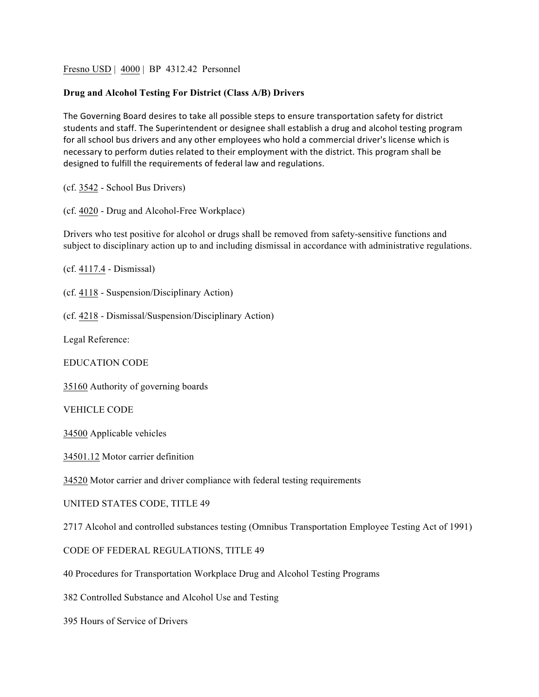Fresno USD | 4000 | BP 4312.42 Personnel

## **Drug and Alcohol Testing For District (Class A/B) Drivers**

The Governing Board desires to take all possible steps to ensure transportation safety for district students and staff. The Superintendent or designee shall establish a drug and alcohol testing program for all school bus drivers and any other employees who hold a commercial driver's license which is necessary to perform duties related to their employment with the district. This program shall be designed to fulfill the requirements of federal law and regulations.

(cf. 3542 - School Bus Drivers)

(cf. 4020 - Drug and Alcohol-Free Workplace)

Drivers who test positive for alcohol or drugs shall be removed from safety-sensitive functions and subject to disciplinary action up to and including dismissal in accordance with administrative regulations.

(cf. 4117.4 - Dismissal)

(cf. 4118 - Suspension/Disciplinary Action)

(cf. 4218 - Dismissal/Suspension/Disciplinary Action)

Legal Reference:

EDUCATION CODE

35160 Authority of governing boards

VEHICLE CODE

34500 Applicable vehicles

34501.12 Motor carrier definition

34520 Motor carrier and driver compliance with federal testing requirements

UNITED STATES CODE, TITLE 49

2717 Alcohol and controlled substances testing (Omnibus Transportation Employee Testing Act of 1991)

CODE OF FEDERAL REGULATIONS, TITLE 49

40 Procedures for Transportation Workplace Drug and Alcohol Testing Programs

382 Controlled Substance and Alcohol Use and Testing

395 Hours of Service of Drivers